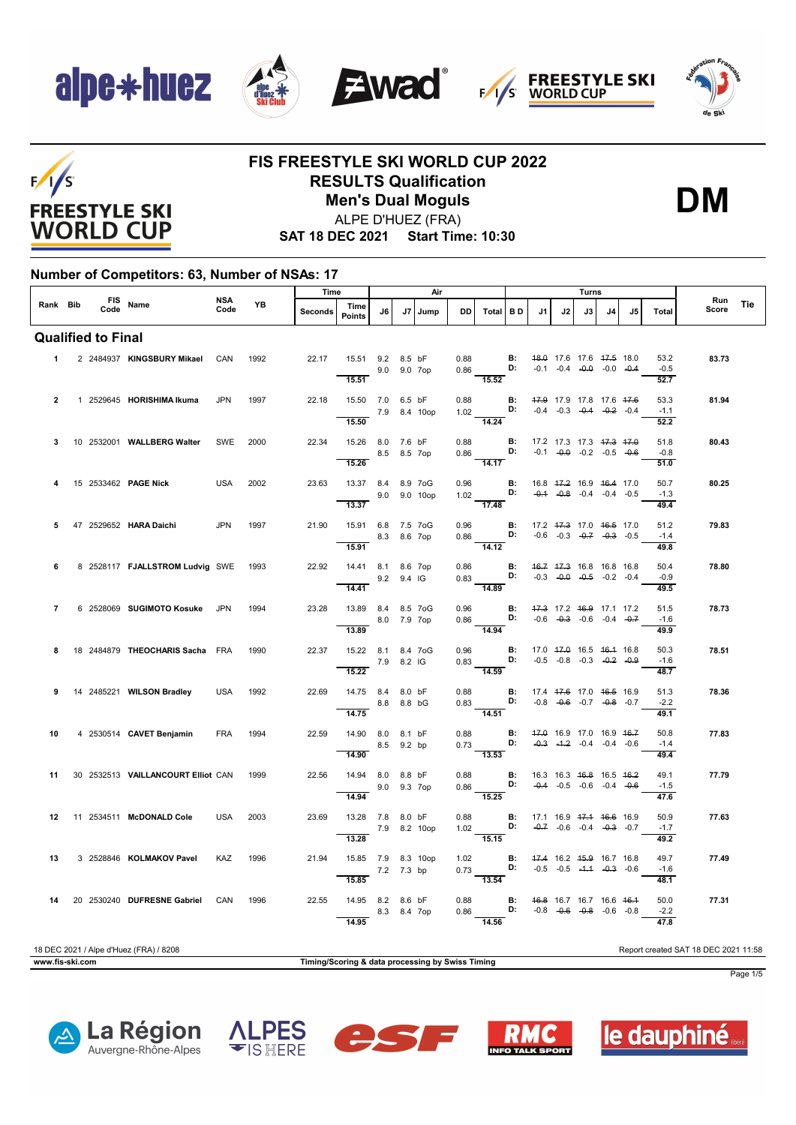







# $F/I/S$ **FREESTYLE SKI WORLD CUP**

### **FIS FREESTYLE SKI WORLD CUP 2022 RESULTS Qualification Men's Dual Moguls**



ALPE D'HUEZ (FRA)

**SAT 18 DEC 2021 Start Time: 10:30**

#### **Number of Competitors: 63, Number of NSAs: 17**

| Time<br>Air<br>Turns<br><b>NSA</b><br>FIS Name |  |                           |                                        |            |      |                |                                                         |             |         |              |                        |                                                                                                                                             |           |                                                          |    |    |                                                                           |     |                        |                                      |     |
|------------------------------------------------|--|---------------------------|----------------------------------------|------------|------|----------------|---------------------------------------------------------|-------------|---------|--------------|------------------------|---------------------------------------------------------------------------------------------------------------------------------------------|-----------|----------------------------------------------------------|----|----|---------------------------------------------------------------------------|-----|------------------------|--------------------------------------|-----|
| Rank Bib                                       |  |                           |                                        | Code       | YB   | <b>Seconds</b> | Time<br><b>Points</b>                                   | J6          | J7      | Jump         | DD                     | <b>Total</b>                                                                                                                                | BD        | J1                                                       | J2 | J3 | J <sub>4</sub>                                                            | .15 | Total                  | Run<br>Score                         | Tie |
|                                                |  | <b>Qualified to Final</b> |                                        |            |      |                |                                                         |             |         |              |                        |                                                                                                                                             |           |                                                          |    |    |                                                                           |     |                        |                                      |     |
| $\mathbf 1$                                    |  |                           | 2 2484937 KINGSBURY Mikael CAN         |            | 1992 | 22.17          | 15.51 9.2 8.5 bF<br>9.0 9.0 7op<br>15.51                |             |         |              | 0.88<br>0.86           | <b>D:</b> $-0.1$ $-0.4$ $-0.0$ $-0.0$ $-0.4$<br>$\overline{15.52}$                                                                          |           | <b>B:</b> 48.0 17.6 17.6 47.5 18.0                       |    |    |                                                                           |     | 53.2<br>$-0.5$<br>52.7 | 83.73                                |     |
| $\overline{2}$                                 |  |                           | 1 2529645 HORISHIMA Ikuma              | <b>JPN</b> | 1997 | 22.18          | 15.50 7.0 6.5 bF<br>15.50                               |             |         | 7.9 8.4 10op | 0.88                   | 1.02 D:<br>$\overline{14.24}$                                                                                                               | B:        |                                                          |    |    | 47.9 17.9 17.8 17.6 47.6<br>$-0.4$ $-0.3$ $-0.4$ $-0.2$ $-0.4$            |     | 53.3<br>$-1.1$<br>52.2 | 81.94                                |     |
| 3                                              |  |                           | 10 2532001 WALLBERG Walter             | SWE        | 2000 | 22.34          | 15.26 8.0 7.6 bF<br>15.26                               | 8.5 8.5 7op |         |              | 0.88                   | $0.86$ D:<br>14.17                                                                                                                          | B:        |                                                          |    |    | 17.2 17.3 17.3 <del>17.3</del> 17.0<br>$-0.1$ $-0.0$ $-0.2$ $-0.5$ $-0.6$ |     | 51.8<br>$-0.8$<br>51.0 | 80.43                                |     |
|                                                |  |                           | 15 2533462 PAGE Nick                   | <b>USA</b> | 2002 | 23.63          | 13.37 8.4 8.9 7oG<br>9.0 9.0 10op<br>13.37              |             |         |              | 0.96                   | 1.02 <b>D:</b> $-0.4$ $-0.8$ $-0.4$ $-0.4$ $-0.5$<br>$\overline{17.48}$                                                                     |           | <b>B:</b> 16.8 47.2 16.9 46.4 17.0                       |    |    |                                                                           |     | 50.7<br>$-1.3$<br>49.4 | 80.25                                |     |
| 5                                              |  |                           | 47 2529652 HARA Daichi                 | <b>JPN</b> | 1997 | 21.90          | 15.91 6.8 7.5 7oG<br>15.91                              | 8.3 8.6 7op |         |              | 0.96<br>0.86<br>a sa B | D:<br>14.12                                                                                                                                 | B:        | 17.2 47.3 17.0 46.5 17.0                                 |    |    | $-0.6$ $-0.3$ $-0.7$ $-0.3$ $-0.5$                                        |     | 51.2<br>$-1.4$<br>49.8 | 79.83                                |     |
| 6                                              |  |                           | 8 2528117 FJALLSTROM Ludvig SWE 1993   |            |      | 22.92          | 14.41 8.1 8.6 7op<br>$9.2$ 9.4 IG<br>$\overline{14.41}$ |             |         |              | 0.86                   | 0.83<br>$\frac{1}{14.89}$                                                                                                                   | B:        | <b>D:</b> $-0.3$ $-0.0$ $-0.5$ $-0.2$ $-0.4$             |    |    | 46.7 47.3 16.8 16.8 16.8                                                  |     | 50.4<br>$-0.9$<br>49.5 | 78.80                                |     |
| $\overline{7}$                                 |  |                           | 6 2528069 SUGIMOTO Kosuke JPN          |            | 1994 | 23.28          | 13.89 8.4 8.5 7oG<br>8.0 7.9 7op<br>$\overline{13.89}$  |             |         |              |                        | 0.96 <b>B:</b> $\frac{47.3}{0.86}$ 17.2 $\frac{46.9}{0.6}$ 17.1 17.2<br>0.86 <b>D:</b> -0.6 -0.3 -0.6 -0.4 -0.7<br>$\frac{1}{14.94}$        |           |                                                          |    |    |                                                                           |     | 51.5<br>$-1.6$<br>49.9 | 78.73                                |     |
| 8                                              |  |                           | 18 2484879 THEOCHARIS Sacha FRA        |            | 1990 | 22.37          | 15.22 8.1 8.4 7oG<br>15.22                              | 7.9 8.2 IG  |         |              |                        | $0.96$ B:<br>$0.83$ D:<br>14.59                                                                                                             |           | 17.0 <del>17.0</del> 16.5 <del>16.1</del> 16.8           |    |    | $-0.5$ $-0.8$ $-0.3$ $-0.2$ $-0.9$                                        |     | 50.3<br>$-1.6$<br>48.7 | 78.51                                |     |
| 9                                              |  |                           | 14 2485221 WILSON Bradley              | <b>USA</b> | 1992 | 22.69          | 14.75 8.4 8.0 bF<br>8.8 8.8 bG<br>14.75                 |             |         |              | 0.88                   | 0.83<br>$-14.51$                                                                                                                            | B:<br>D:  | 17.4 47.6 17.0 46.5 16.9                                 |    |    | $-0.8$ $-0.6$ $-0.7$ $-0.8$ $-0.7$                                        |     | 51.3<br>$-2.2$<br>49.1 | 78.36                                |     |
| 10                                             |  |                           | 4 2530514 CAVET Benjamin               | <b>FRA</b> | 1994 | 22.59          | 14.90 8.0 8.1 bF<br>14.90                               | 8.5 9.2 bp  |         |              |                        | 0.88 <b>B:</b> 47.0 16.9 17.0 16.9 46.7<br>0.73 <b>D:</b> $-0.3$ -4.2 -0.4 -0.4 -0.6<br>$\overline{13.53}$                                  |           |                                                          |    |    |                                                                           |     | 50.8<br>$-1.4$<br>49.4 | 77.83                                |     |
| 11                                             |  |                           | 30 2532513 VAILLANCOURT Elliot CAN     |            | 1999 | 22.56          | 14.94 8.0 8.8 bF<br>14.94                               | 9.0         | 9.3 7op |              | 0.88<br>0.86           | D:<br>$\overline{15.25}$                                                                                                                    |           | <b>B:</b> 16.3 16.3 <del>16.8</del> 16.5 <del>16.2</del> |    |    | $-0.4$ $-0.5$ $-0.6$ $-0.4$ $-0.6$                                        |     | 49.1<br>$-1.5$<br>47.6 | 77.79                                |     |
| 12                                             |  |                           | 11 2534511 McDONALD Cole               | <b>USA</b> | 2003 | 23.69          | 13.28 7.8 8.0 bF<br>7.9 8.2 10op<br>$\overline{13.28}$  |             |         |              | 0.88                   | 1.02 <b>D:</b> $-0.7$ -0.6 -0.4 -0.3 -0.7<br>$\frac{11}{15.15}$                                                                             | <b>B:</b> | 17.1 16.9 <del>17.1</del> <del>16.6</del> 16.9           |    |    |                                                                           |     | 50.9<br>$-1.7$<br>49.2 | 77.63                                |     |
| 13                                             |  |                           | 3 2528846 KOLMAKOV Pavel               | KAZ        | 1996 | 21.94          | 15.85 7.9 8.3 10op<br>15.85                             | 7.2 7.3 bp  |         |              |                        | 1.02 <b>B:</b> $\frac{47.4}{16.2}$ 45.9 16.7 16.8<br>$0.73$ $\overline{)13.54}$ $\overline{)11.53}$ $\overline{)13.54}$ $\overline{)13.54}$ |           |                                                          |    |    |                                                                           |     | 49.7<br>$-1.6$<br>48.1 | 77.49                                |     |
| 14                                             |  |                           | 20 2530240 DUFRESNE Gabriel            | CAN        | 1996 | 22.55          | 14.95 8.2 8.6 bF<br>14.95                               | 8.3 8.4 7op |         |              | 0.88<br>0.86           | D:<br>14.56                                                                                                                                 | <b>B:</b> |                                                          |    |    | 46.8 16.7 16.7 16.6 46.4<br>$-0.8$ $-0.6$ $-0.8$ $-0.6$ $-0.8$            |     | 50.0<br>$-2.2$<br>47.8 | 77.31                                |     |
|                                                |  |                           | 18 DEC 2021 / Alpe d'Huez (FRA) / 8208 |            |      |                |                                                         |             |         |              |                        |                                                                                                                                             |           |                                                          |    |    |                                                                           |     |                        | Report created SAT 18 DEC 2021 11:58 |     |



**www.fis-ski.com Timing/Scoring & data processing by Swiss Timing**

Page 1/5









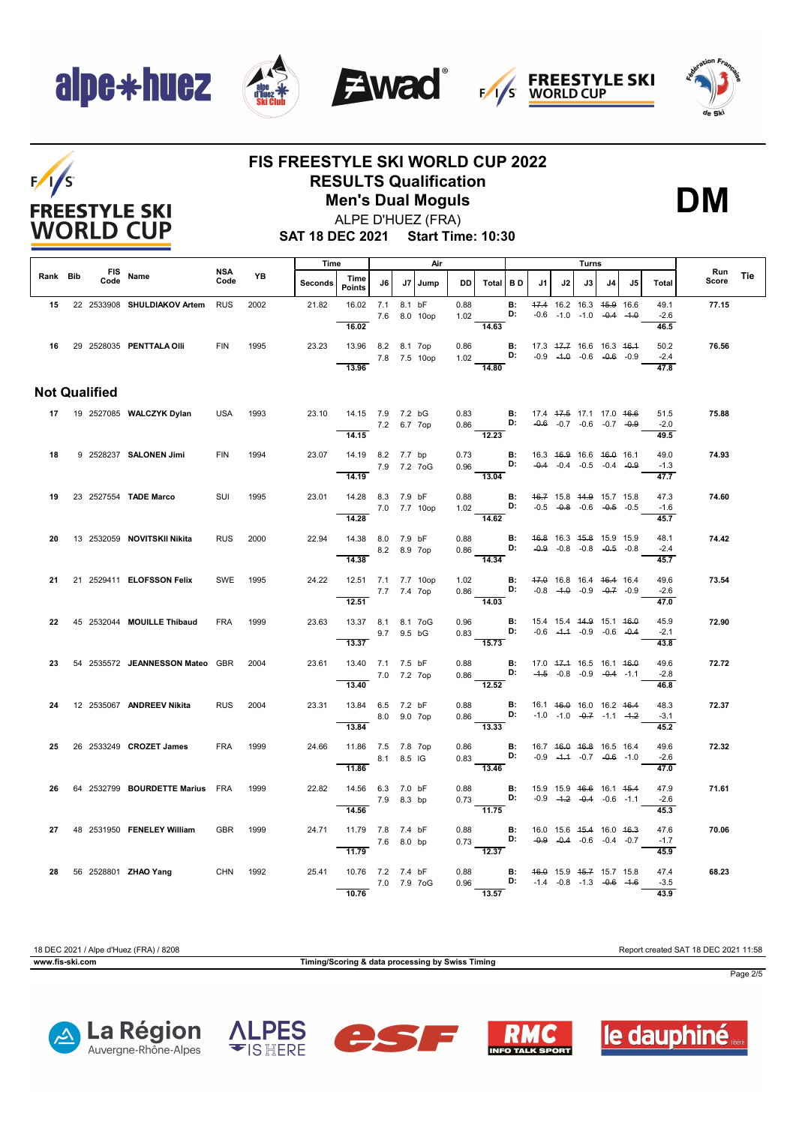









### **FIS FREESTYLE SKI WORLD CUP 2022 RESULTS Qualification Men's Dual Moguls**



**DM**

**SAT 18 DEC 2021 Start Time: 10:30**

|          |                      |                                      |             | Time<br>Air |         |                                                            |            | Turns   |                          |                                                                                                                                               |                 |                                    |                                                                |      |    |    |                                |              |     |
|----------|----------------------|--------------------------------------|-------------|-------------|---------|------------------------------------------------------------|------------|---------|--------------------------|-----------------------------------------------------------------------------------------------------------------------------------------------|-----------------|------------------------------------|----------------------------------------------------------------|------|----|----|--------------------------------|--------------|-----|
| Rank Bib | Code                 | FIS Name                             | NSA<br>Code | YB          | Seconds | Time<br>Points                                             | J6 I       | J7 Jump | DD I                     | Total BD                                                                                                                                      |                 | J1                                 | J2                                                             | J3 I | J4 | J5 | Total                          | Run<br>Score | Tie |
|          |                      | 15 22 2533908 SHULDIAKOV Artem RUS   |             | 2002        | 21.82   | 16.02 7.1<br>7.6 8.0 10op                                  |            | 8.1 bF  | 0.88<br>1.02             |                                                                                                                                               | <b>B:</b><br>D: |                                    | 47.4 16.2 16.3 45.9 16.6<br>$-0.6$ $-1.0$ $-1.0$ $-0.4$ $-1.0$ |      |    |    | 49.1<br>$-2.6$                 | 77.15        |     |
|          |                      | 16 29 2528035 PENTTALA OIII          | <b>FIN</b>  | 1995        |         | 16.02<br>23.23 13.96 8.2 8.1 7op<br>7.8 7.5 10op<br>13.96  |            |         | 0.86                     | 14.63<br>1.02 <b>D:</b> $-0.9$ $-4.0$ $-0.6$ $-0.6$ $-0.9$<br>14.80                                                                           |                 | <b>B:</b> 17.3 47.7 16.6 16.3 46.4 |                                                                |      |    |    | 46.5<br>50.2<br>$-2.4$<br>47.8 | 76.56        |     |
|          | <b>Not Qualified</b> |                                      |             |             |         |                                                            |            |         |                          |                                                                                                                                               |                 |                                    |                                                                |      |    |    |                                |              |     |
|          |                      | 17 19 2527085 WALCZYK Dylan          | USA         | 1993        |         | 23.10  14.15  7.9  7.2  bG                                 |            |         |                          | 0.83 <b>B</b> : 17.4 <del>17.5</del> 17.1 17.0 <del>16.6</del><br>0.86 <b>D:</b> -0.6 -0.7 -0.6 -0.7 -0.9                                     |                 |                                    |                                                                |      |    |    | 51.5<br>$-2.0$                 | 75.88        |     |
|          |                      |                                      |             |             |         | 7.2 6.7 7op<br>14.15                                       |            |         | <b>Contract Contract</b> | 12.23                                                                                                                                         |                 |                                    |                                                                |      |    |    | 49.5                           |              |     |
| 18       |                      | 9 2528237 SALONEN Jimi               | <b>FIN</b>  | 1994        |         | 23.07 14.19 8.2 7.7 bp<br>7.9 7.2 7oG<br>14.19             |            |         |                          | 0.73 <b>B</b> : 16.3 46.9 16.6 46.0 16.1<br>0.96 <b>B:</b> -0.4 -0.4 -0.5 -0.4 -0.9<br>13.04                                                  |                 |                                    |                                                                |      |    |    | 49.0<br>$-1.3$<br>47.7         | 74.93        |     |
| 19       |                      | 23 2527554 TADE Marco                | SUI         | 1995        | 23.01   | 14.28 8.3 7.9 bF<br>7.0 7.7 10op                           |            |         |                          | 0.88 <b>B:</b> 4 <del>6.7</del> 15.8 44.9 15.7 15.8<br>1.02 <b>D:</b> -0.5 -0.8 -0.6 -0.5 -0.5                                                |                 |                                    |                                                                |      |    |    | 47.3<br>$-1.6$                 | 74.60        |     |
|          |                      |                                      |             |             |         | 14.28                                                      |            |         |                          | $\overline{14.62}$                                                                                                                            |                 |                                    |                                                                |      |    |    | 45.7                           |              |     |
| 20       |                      | 13 2532059 NOVITSKII Nikita          | <b>RUS</b>  | 2000        | 22.94   | 14.38 8.0 7.9 bF<br>8.2 8.9 7op<br>14.38                   |            |         |                          | 0.88 <b>B:</b> $46.8$ 16.3 $45.8$ 15.9 15.9 0.86 <b>D:</b> $-0.9$ -0.8 $-0.8$ $-0.8$ $-0.8$ $-0.8$ $-0.8$ $-0.8$                              |                 |                                    |                                                                |      |    |    | 48.1<br>$-2.4$<br>45.7         | 74.42        |     |
| 21       |                      | 21 2529411 ELOFSSON Felix            | SWE         | 1995        | 24.22   | 12.51 7.1 7.7 10op<br>7.7 7.4 7op                          |            |         |                          | 1.02 <b>B</b> : $47.0$ 16.8 16.4 46.4 16.4<br>0.86 <b>D</b> : -0.8 -4.0 -0.9 -0.7 -0.9                                                        |                 |                                    |                                                                |      |    |    | 49.6<br>$-2.6$                 | 73.54        |     |
| 22       |                      | 45 2532044 MOUILLE Thibaud           | <b>FRA</b>  | 1999        | 23.63   | 12.51<br>13.37 8.1 8.1 7oG                                 |            |         | 0.96                     |                                                                                                                                               |                 | <b>B:</b> 15.4 15.4 44.9 15.1 46.0 |                                                                |      |    |    | 47.0<br>45.9                   | 72.90        |     |
|          |                      |                                      |             |             |         | 13.37                                                      | 9.7 9.5 bG |         |                          | $0.83$ D:<br>15.73                                                                                                                            |                 |                                    | $-0.6$ $-4.4$ $-0.9$ $-0.6$ $-0.4$                             |      |    |    | $-2.1$<br>43.8                 |              |     |
| 23       |                      | 54 2535572 JEANNESSON Mateo GBR 2004 |             |             | 23.61   | 13.40 7.1 7.5 bF<br>$- 7.0 7.2 7$ op<br>$\overline{13.40}$ |            |         | 0.88                     | $0.86$ D: $-4.5$ $-0.8$ $-0.9$ $-0.4$ $-1.1$<br>$\overline{12.52}$                                                                            |                 | <b>B:</b> 17.0 47.4 16.5 16.1 46.0 |                                                                |      |    |    | 49.6<br>$-2.8$<br>46.8         | 72.72        |     |
| 24       |                      | 12  2535067  ANDREEV Nikita          | <b>RUS</b>  | 2004        | 23.31   | 13.84 6.5 7.2 bF                                           |            |         | 0.88                     | 0.86 <b>D:</b> -1.0 -1.0 -0.7 -1.1 -1.2                                                                                                       |                 | <b>B:</b> 16.1 46.0 16.0 16.2 46.4 |                                                                |      |    |    | 48.3                           | 72.37        |     |
|          |                      |                                      |             |             |         | 8.0 9.0 7op<br>13.84                                       |            |         |                          | 13.33                                                                                                                                         |                 |                                    |                                                                |      |    |    | $-3.1$<br>45.2                 |              |     |
| 25       |                      | 26 2533249 CROZET James              | FRA         | 1999        | 24.66   | 11.86 7.5 7.8 7op<br>$8.1 \t 8.5 \t 1G$<br>11.86           |            |         |                          | 0.86 <b>B</b> : 16.7 <del>16.0</del> <del>16.8</del> 16.5 16.4<br>0.83 <b>D:</b> -0.9 - <del>1.1</del> -0.7 -0.6 -1.0<br>$\frac{3.26}{13.46}$ |                 |                                    |                                                                |      |    |    | 49.6<br>$-2.6$<br>47.0         | 72.32        |     |
| 26       |                      | 64 2532799 BOURDETTE Marius FRA      |             | 1999        | 22.82   | 14.56 6.3 7.0 bF<br>7.9 8.3 bp                             |            |         |                          | 0.88 <b>B</b> : 15.9 15.9 <del>16.6</del> 16.1 15.4<br>0.73 <b>D:</b> -0.9 -1.2 -0.4 -0.6 -1.1                                                |                 |                                    |                                                                |      |    |    | 47.9<br>$-2.6$                 | 71.61        |     |
|          |                      |                                      |             |             |         | 14.56                                                      |            |         |                          | $\overline{11.75}$                                                                                                                            |                 |                                    |                                                                |      |    |    | 45.3                           |              |     |
| 27       |                      | 48 2531950 FENELEY William           | <b>GBR</b>  | 1999        | 24.71   | 11.79 7.8 7.4 bF<br>7.6 8.0 bp<br>11.79                    |            |         |                          | 0.88 <b>B:</b> 16.0 15.6 15.4 16.0 16.3<br>0.73 <b>D:</b> $-0.9$ $-0.4$ $-0.6$ $-0.4$ $-0.7$<br>12.37                                         |                 |                                    |                                                                |      |    |    | 47.6<br>$-1.7$<br>45.9         | 70.06        |     |
|          |                      | 28 56 2528801 ZHAO Yang CHN 1992     |             |             | 25.41   | 10.76 7.2 7.4 bF<br>7.0 7.9 7oG                            |            |         |                          | 0.88 <b>B:</b> 4 <del>6.0</del> 15.9 45.7 15.7 15.8<br>0.96 <b>D:</b> -1.4 -0.8 -1.3 -0.6 -1.6                                                |                 |                                    |                                                                |      |    |    | 47.4<br>$-3.5$                 | 68.23        |     |
|          |                      |                                      |             |             |         | 10.76                                                      |            |         |                          | $\overline{13.57}$                                                                                                                            |                 |                                    |                                                                |      |    |    | 43.9                           |              |     |

18 DEC 2021 / Alpe d'Huez (FRA) / 8208 Report created SAT 18 DEC 2021 11:58

**www.fis-ski.com Timing/Scoring & data processing by Swiss Timing**



Page 2/5









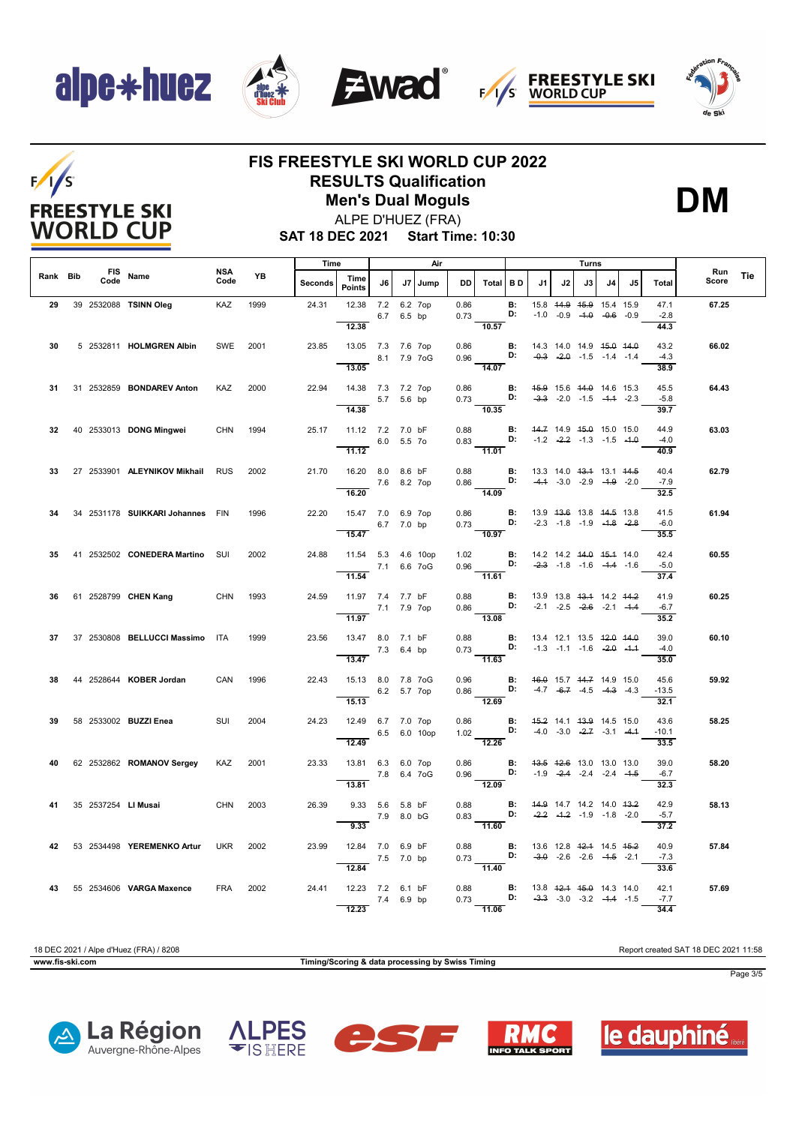$F/1/S$ 

**FREESTYLE SKI WORLD CUP** 









## **FIS FREESTYLE SKI WORLD CUP 2022 RESULTS Qualification**

**Men's Dual Moguls**



ALPE D'HUEZ (FRA)

**SAT 18 DEC 2021 Start Time: 10:30**

|          |      |                                  |             |           | Time<br>Air |                                                                        |                               | Turns      |         |      |                                                                                                                                               |                |                                                          | Run |                                                                |    |     |                                |       |            |
|----------|------|----------------------------------|-------------|-----------|-------------|------------------------------------------------------------------------|-------------------------------|------------|---------|------|-----------------------------------------------------------------------------------------------------------------------------------------------|----------------|----------------------------------------------------------|-----|----------------------------------------------------------------|----|-----|--------------------------------|-------|------------|
| Rank Bib | Code | FIS Name                         | NSA<br>Code | <b>YB</b> | Seconds     | Time<br>Points                                                         | J6                            |            | J7 Jump | DD I | Total BD                                                                                                                                      |                | J1                                                       | J2  | J3 I                                                           | J4 | .15 | Total                          | Score | <b>Tie</b> |
| 29       |      | 39 2532088 TSINN Oleg            | KAZ         | 1999      |             | 24.31 12.38 7.2<br>12.38                                               |                               | 6.7 6.5 bp | 6.2 7op | 0.86 | $0.73$ D:<br>10.57                                                                                                                            | <b>B:</b>      |                                                          |     | 15.8 44.9 45.9 15.4 15.9<br>$-1.0$ $-0.9$ $-4.0$ $-0.6$ $-0.9$ |    |     | 47.1<br>$-2.8$<br>44.3         | 67.25 |            |
| 30       |      | 5 2532811 HOLMGREN Albin         | SWE 2001    |           | 23.85       | 13.05 7.3 7.6 7op<br>8.1 7.9 7 og<br>13.05                             |                               |            |         |      | 0.86 <b>B</b> : 14.3 14.0 14.9 <del>15.0</del> 14.0<br>0.96 <b>D:</b> -0.3 -2.0 -1.5 -1.4 -1.4<br>$\frac{1}{14.07}$                           |                |                                                          |     |                                                                |    |     | 43.2<br>$-4.3$<br>38.9         | 66.02 |            |
| 31       |      | 31 2532859 <b>BONDAREV Anton</b> | KAZ         | 2000      | 22.94       | 14.38 7.3 7.2 7op<br>5.7 5.6 bp                                        |                               |            |         |      | 0.86 <b>B:</b> 45.9 15.6 44.0 14.6 15.3<br>0.73 <b>D:</b> -3.3 -2.0 -1.5 -4.4 -2.3                                                            |                |                                                          |     |                                                                |    |     | 45.5<br>$-5.8$                 | 64.43 |            |
| 32       |      | 40 2533013 DONG Mingwei          | CHN         | 1994      |             | 14.38<br>25.17  11.12  7.2  7.0 bF<br>6.0 5.5 70<br>$\overline{11.12}$ |                               |            |         | 0.88 | 10.35<br>0.83 <b>D:</b> $\frac{14.7}{2.2}$ -1.3 -1.5 -1.6 -1.9<br>$\overline{11.01}$                                                          |                | <b>B:</b> 44.7 14.9 45.0 15.0 15.0                       |     |                                                                |    |     | 39.7<br>44.9<br>$-4.0$<br>40.9 | 63.03 |            |
| 33       |      | 27 2533901 ALEYNIKOV Mikhail RUS |             | 2002      | 21.70       | 16.20 8.0 8.6 bF<br>16.20                                              | 7.6 8.2 7op                   |            |         | 0.88 | 0.86 <b>D:</b> $-4.4$ $-3.0$ $-2.9$ $-4.9$ $-2.0$<br>$\frac{1}{14.09}$                                                                        |                | <b>B:</b> 13.3 14.0 <del>13.1</del> 13.1 44.5            |     |                                                                |    |     | 40.4<br>$-7.9$<br>32.5         | 62.79 |            |
| 34       |      | 34 2531178 SUIKKARI Johannes FIN |             | 1996      | 22.20       | 15.47 7.0 6.9 7op<br>6.7 7.0 bp<br>15.47                               |                               |            |         |      | 0.86 <b>B</b> : 13.9 <del>13.6</del> 13.8 <del>14.5</del> 13.8<br>0.73 <b>D:</b> -2.3 -1.8 -1.9 - <del>1.8</del> -2.8<br>$\frac{3115}{10.97}$ |                |                                                          |     |                                                                |    |     | 41.5<br>$-6.0$<br>35.5         | 61.94 |            |
| 35       |      | 41 2532502 CONEDERA Martino SUI  |             | 2002      | 24.88       | 11.54 5.3 4.6 10op<br>$7.1\quad 6.6\quad 70G$<br>11.54                 |                               |            |         |      | 1.02 <b>B:</b> 14.2 14.2 44.0 45.4 14.0<br>0.96 <b>D:</b> $-2.3$ -1.8 -1.6 -1.4 -1.6<br>11.61                                                 |                |                                                          |     |                                                                |    |     | 42.4<br>$-5.0$<br>37.4         | 60.55 |            |
| 36       |      | 61 2528799 <b>CHEN Kang</b> CHN  |             | 1993      | 24.59       | 11.97 7.4 7.7 bF<br>7.1 7.9 7op<br>11.97                               |                               |            |         |      | 0.88 <b>B</b> : 13.9 13.8 <del>13.1</del> 14.2 14.2<br>0.86 <b>D:</b> -2.1 -2.5 -2.6 2.4<br>$\overline{13.08}$                                |                |                                                          |     |                                                                |    |     | 41.9<br>$-6.7$<br>35.2         | 60.25 |            |
| 37       |      | 37 2530808 BELLUCCI Massimo ITA  |             | 1999      | 23.56       | 13.47 8.0 7.1 bF<br>$7.3\quad 6.4 \text{ bp}$<br>13.47                 |                               |            |         | 0.88 | 0.60 <b>b:</b> 13.4 12.1 13.5 $\frac{42.0 + 44.0}{44.0}$<br>0.73 <b>b:</b> -1.3 -1.1 -1.6 -2.0 -1.1                                           |                | <b>B:</b> 13.4 12.1 13.5 <del>12.0 14.0</del>            |     |                                                                |    |     | 39.0<br>$-4.0$<br>35.0         | 60.10 |            |
|          |      | 38 44 2528644 KOBER Jordan       | CAN         | 1996      | 22.43       | 15.13 8.0 7.8 7oG<br>6.2 5.7 7op<br>15.13                              |                               |            |         |      | 0.96 <b>B:</b> 46.0 15.7 44.7 14.9 15.0<br>0.86 <b>D:</b> $-4.7$ $-6.7$ $-4.5$ $-4.3$ $-4.3$<br>12.69                                         |                |                                                          |     |                                                                |    |     | 45.6<br>$-13.5$<br>32.1        | 59.92 |            |
| 39       |      | 58 2533002 BUZZI Enea            | SUI         | 2004      | 24.23       | 12.49 6.7 7.0 7op<br>6.5 6.0 10op<br>12.49                             |                               |            |         |      | 0.86 <b>B:</b> 4 <del>5.2</del> 14.1 43.9 14.5 15.0<br>1.02 <b>D:</b> -4.0 -3.0 -2.7 -3.1 -4.4<br>$\frac{1}{12.26}$                           |                |                                                          |     |                                                                |    |     | 43.6<br>$-10.1$<br>33.5        | 58.25 |            |
|          |      | 40 62 2532862 ROMANOV Sergey     | KAZ         | 2001      | 23.33       | 13.81 6.3 6.0 7op<br>7.8 6.4 7 oG<br>13.81                             |                               |            |         | 0.86 | 0.96 <b>D:</b> $-1.9$ $-2.4$ $-2.4$ $-2.4$ $-1.5$<br>12.09                                                                                    |                | <b>B</b> : 43.5 42.6 13.0 13.0 13.0                      |     |                                                                |    |     | 39.0<br>$-6.7$<br>32.3         | 58.20 |            |
| 41       |      | 35 2537254 LI Musai              | <b>CHN</b>  | 2003      | 26.39       | 9.33                                                                   | 9.33 5.6 5.8 bF<br>7.9 8.0 bG |            |         | 0.88 | $\frac{5.66}{0.83}$ <b>D:</b><br>$\frac{1}{11.60}$                                                                                            | $\mathbf{B}$ : |                                                          |     | 44.9 14.7 14.2 14.0 43.2<br>$-2.2$ $-4.2$ $-1.9$ $-1.8$ $-2.0$ |    |     | 42.9<br>$-5.7$<br>37.2         | 58.13 |            |
| 42       |      | 53 2534498 YEREMENKO Artur       | <b>UKR</b>  | 2002      | 23.99       | 12.84 7.0 6.9 bF<br>7.5 7.0 bp<br>12.84                                |                               |            |         | 0.88 | $0.73$ D: $-3.0$ -2.6 -2.6 -4.5 -2.1                                                                                                          |                | <b>B:</b> 13.6 12.8 <del>12.1</del> 14.5 <del>15.2</del> |     |                                                                |    |     | 40.9<br>$-7.3$<br>33.6         | 57.84 |            |
|          |      | 43 55 2534606 VARGA Maxence      | FRA         | 2002      |             | 24.41 12.23 7.2 6.1 bF<br>7.4 6.9 bp<br>12.23                          |                               |            |         |      | 0.88 <b>B</b> : 13.8 <del>12.1</del> 45.0 14.3 14.0 0.73 <b>B:</b> -3.3 -3.0 -3.2 -4.4 -1.5<br>$\overline{11.06}$                             |                |                                                          |     |                                                                |    |     | 42.1<br>$-7.7$<br>34.4         | 57.69 |            |

18 DEC 2021 / Alpe d'Huez (FRA) / 8208 Report created SAT 18 DEC 2021 11:58 **www.fis-ski.com Timing/Scoring & data processing by Swiss Timing**











Page 3/5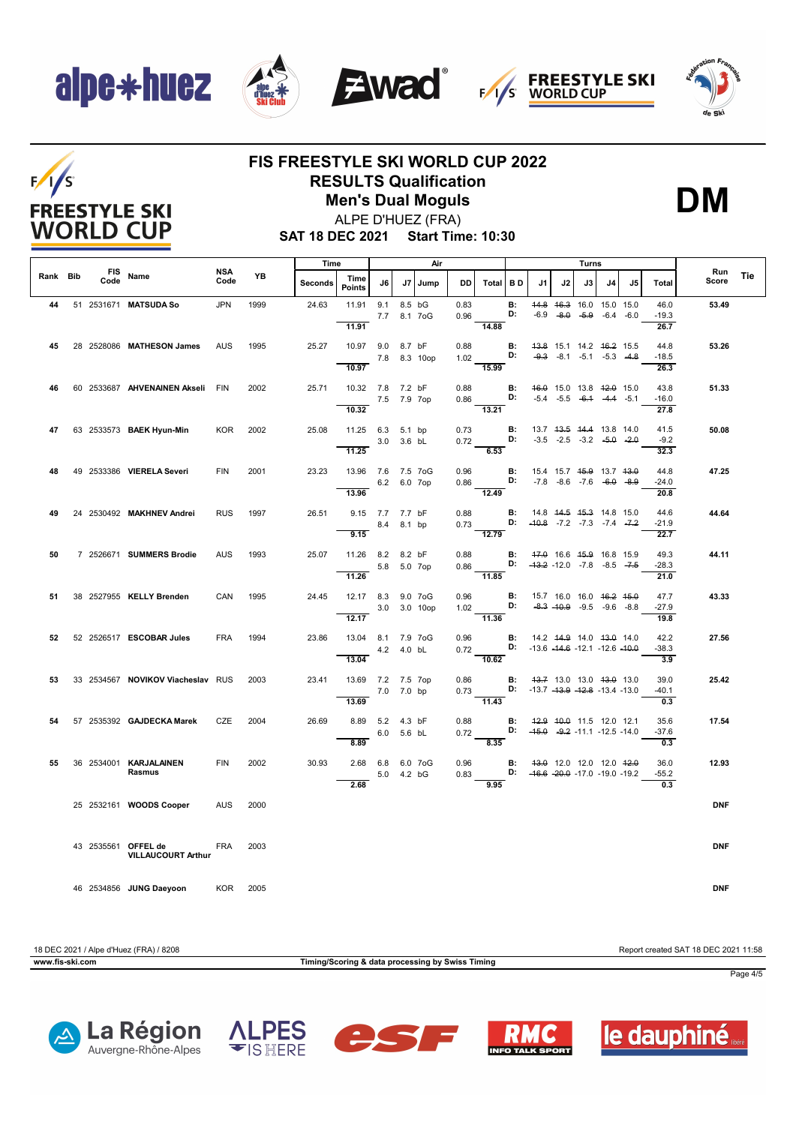







## $F/1/S$ **FREESTYLE SKI WORLD CUP**

### **FIS FREESTYLE SKI WORLD CUP 2022 RESULTS Qualification**

**Men's Dual Moguls**



**SAT 18 DEC 2021 Start Time: 10:30** ALPE D'HUEZ (FRA)

|          |                    |                                                           | Time<br>Air        |      |         | Turns                      |             |                         |              |              |                                                                                                     |                                    |                                                                |    |                                                                                      |    |                                         |                         |              |     |
|----------|--------------------|-----------------------------------------------------------|--------------------|------|---------|----------------------------|-------------|-------------------------|--------------|--------------|-----------------------------------------------------------------------------------------------------|------------------------------------|----------------------------------------------------------------|----|--------------------------------------------------------------------------------------|----|-----------------------------------------|-------------------------|--------------|-----|
| Rank Bib | <b>FIS</b><br>Code | Name                                                      | <b>NSA</b><br>Code | YB   | Seconds | Time<br>Points             | J6          | J7                      | Jump         | <b>DD</b>    | Total BD                                                                                            |                                    | .11                                                            | J2 | J3                                                                                   | J4 | J5                                      | <b>Total</b>            | Run<br>Score | Tie |
| 44       |                    | 51 2531671 MATSUDA So                                     | <b>JPN</b>         | 1999 | 24.63   | 11.91<br>11.91             | 9.1         | 8.5 bG<br>7.7 8.1 7 o G |              | 0.83<br>0.96 | 14.88                                                                                               | <b>B:</b><br>D:                    |                                                                |    | 44.8 46.3 16.0 15.0 15.0<br>$-6.9$ $-8.0$ $-5.9$ $-6.4$ $-6.0$                       |    |                                         | 46.0<br>$-19.3$<br>26.7 | 53.49        |     |
| 45       |                    | 28 2528086 MATHESON James                                 | <b>AUS</b>         | 1995 | 25.27   | 10.97 9.0 8.7 bF<br>10.97  |             |                         | 7.8 8.3 10op | 0.88         | 1.02 D:<br>15.99                                                                                    | B:                                 | 43.8 15.1 14.2 46.2 15.5                                       |    | $-9.3 -8.1 -5.1 -5.3 -4.8$                                                           |    |                                         | 44.8<br>$-18.5$<br>26.3 | 53.26        |     |
| 46       |                    | 60 2533687 AHVENAINEN Akseli FIN                          |                    | 2002 | 25.71   | 10.32 7.8 7.2 bF<br>10.32  | 7.5 7.9 7op |                         |              | 0.88         | $0.86$ D:<br>13.21                                                                                  | $\mathbf{B}$ :                     |                                                                |    | 46.0 15.0 13.8 42.0 15.0<br>$-5.4$ $-5.5$ $-6.4$ $-4.4$ $-5.1$                       |    |                                         | 43.8<br>$-16.0$<br>27.8 | 51.33        |     |
| 47       |                    | 63 2533573 BAEK Hyun-Min                                  | <b>KOR</b>         | 2002 | 25.08   | 11.25 6.3 5.1 bp<br>11.25  |             | 3.0 3.6 bL              |              | 0.73         | $0.72$ D:<br>6.53                                                                                   | B:                                 | 13.7 43.5 44.4 13.8 14.0<br>$-3.5$ $-2.5$ $-3.2$ $-5.0$ $-2.0$ |    |                                                                                      |    |                                         | 41.5<br>$-9.2$<br>32.3  | 50.08        |     |
| 48       |                    | 49 2533386 VIERELA Severi                                 | <b>FIN</b>         | 2001 | 23.23   | 13.96 7.6 7.5 7oG<br>13.96 |             | 6.2 6.0 7op             |              | 0.96<br>0.86 | D:<br>$\overline{12.49}$                                                                            | <b>B:</b>                          |                                                                |    | 15.4 15.7 <del>15.9</del> 13.7 <del>13.0</del><br>$-7.8$ $-8.6$ $-7.6$ $-6.0$ $-8.9$ |    |                                         | 44.8<br>$-24.0$<br>20.8 | 47.25        |     |
| 49       |                    | 24 2530492 MAKHNEV Andrei                                 | <b>RUS</b>         | 1997 | 26.51   | 9.15 7.7 7.7 bF<br>9.15    |             | 8.4 8.1 bp              |              | 0.88         | 0.73 <b>D</b> : $-40.8$ -7.2 -7.3 -7.4 -7.2<br>12.79                                                | B:                                 | 14.8 44.5 45.3 14.8 15.0                                       |    |                                                                                      |    |                                         | 44.6<br>$-21.9$<br>22.7 | 44.64        |     |
| 50       |                    | 7 2526671 SUMMERS Brodie                                  | <b>AUS</b>         | 1993 | 25.07   | 11.26 8.2 8.2 bF<br>11.26  |             | 5.8 5.0 7op             |              | 0.88         | 0.86 <b>D:</b> $-43.2$ -12.0 -7.8 -8.5 -7.5<br>$-11.85$                                             | <b>B:</b>                          | 47.0 16.6 45.9 16.8 15.9                                       |    |                                                                                      |    |                                         | 49.3<br>$-28.3$<br>21.0 | 44.11        |     |
| 51       |                    | 38 2527955 KELLY Brenden                                  | CAN                | 1995 | 24.45   | 12.17 8.3 9.0 7oG<br>12.17 |             |                         | 3.0 3.0 10op |              | 0.96 <b>B:</b><br>1.02 <b>D:</b><br>$\overline{11.36}$                                              |                                    | 15.7 16.0 16.0 <del>16.2</del> <del>15.0</del>                 |    | $-8.3$ $-10.9$ $-9.5$ $-9.6$ $-8.8$                                                  |    |                                         | 47.7<br>$-27.9$<br>19.8 | 43.33        |     |
| 52       |                    | 52 2526517 ESCOBAR Jules                                  | <b>FRA</b>         | 1994 | 23.86   | 13.04 8.1 7.9 7oG<br>13.04 |             | 4.2  4.0 bL             |              |              | 0.96 <b>B:</b> 14.2 44.9 14.0 43.0 14.0<br>0.72 <b>D:</b> -13.6 -14.6 -12.1 -12.6 -10.0<br>$-10.62$ |                                    |                                                                |    |                                                                                      |    |                                         | 42.2<br>$-38.3$<br>3.9  | 27.56        |     |
| 53       |                    | 33 2534567 NOVIKOV Viacheslav RUS                         |                    | 2003 | 23.41   | 13.69 7.2 7.5 7op<br>13.69 | 7.0 7.0 bp  |                         |              | 0.86         | 0.73 <b>D:</b> $-13.7 -13.9 -12.8 -13.4 -13.0$<br>$\overline{11.43}$                                | B:                                 | 43.7 13.0 13.0 43.0 13.0                                       |    |                                                                                      |    |                                         | 39.0<br>$-40.1$<br>0.3  | 25.42        |     |
| 54       |                    | 57 2535392 <b>GAJDECKA Marek</b>                          | CZE                | 2004 | 26.69   | 8.89 5.2 4.3 bF<br>8.89    |             | 6.0 5.6 bL              |              | 0.88         | 0.72 <b>D:</b> $-45.0$ $-9.2$ $-11.1$ $-12.5$ $-14.0$<br>8.35                                       | <b>B:</b> 42.9 40.0 11.5 12.0 12.1 |                                                                |    |                                                                                      |    |                                         | 35.6<br>$-37.6$<br>0.3  | 17.54        |     |
| 55       |                    | 36 2534001 KARJALAINEN<br>Rasmus                          | <b>FIN</b>         | 2002 | 30.93   | 2.68 6.8 6.0 7oG<br>2.68   |             | 5.0 4.2 bG              |              | 0.96<br>0.83 | D:<br>9.95                                                                                          | <b>B:</b>                          | 43.0 12.0 12.0 12.0 42.0                                       |    |                                                                                      |    | $-16.6$ $-20.0$ $-17.0$ $-19.0$ $-19.2$ | 36.0<br>$-55.2$<br>0.3  | 12.93        |     |
|          |                    | 25 2532161 WOODS Cooper                                   | <b>AUS</b>         | 2000 |         |                            |             |                         |              |              |                                                                                                     |                                    |                                                                |    |                                                                                      |    |                                         |                         | <b>DNF</b>   |     |
|          |                    | 43 2535561 OFFEL de FRA 2003<br><b>VILLAUCOURT Arthur</b> |                    |      |         |                            |             |                         |              |              |                                                                                                     |                                    |                                                                |    |                                                                                      |    |                                         |                         | <b>DNF</b>   |     |
|          |                    | 46 2534856 JUNG Daeyoon                                   | KOR 2005           |      |         |                            |             |                         |              |              |                                                                                                     |                                    |                                                                |    |                                                                                      |    |                                         |                         | <b>DNF</b>   |     |

18 DEC 2021 / Alpe d'Huez (FRA) / 8208 Report created SAT 18 DEC 2021 11:58

**www.fis-ski.com Timing/Scoring & data processing by Swiss Timing**

Page 4/5